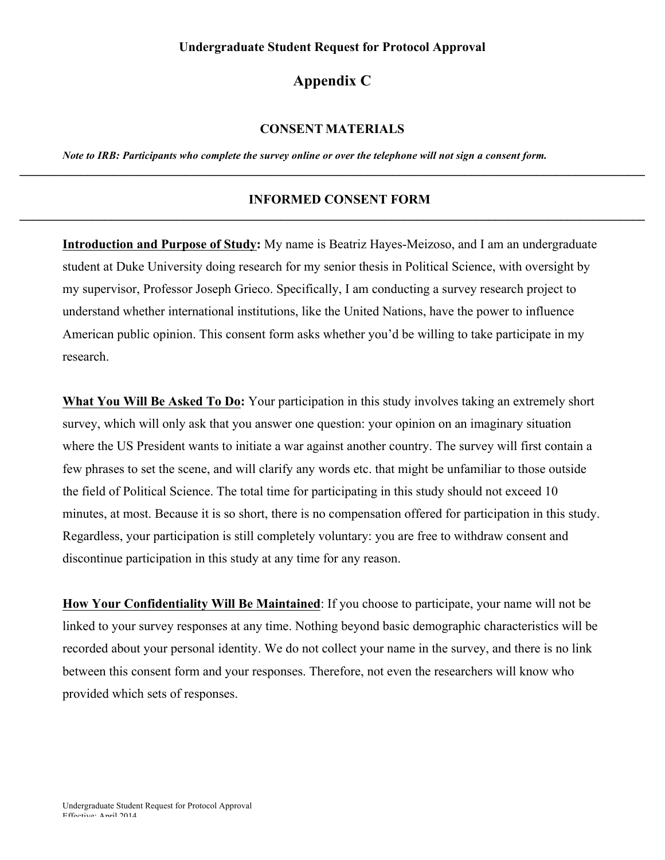## **Undergraduate Student Request for Protocol Approval**

## **Appendix C**

## **CONSENT MATERIALS**

*Note to IRB: Participants who complete the survey online or over the telephone will not sign a consent form.*

## **INFORMED CONSENT FORM \_\_\_\_\_\_\_\_\_\_\_\_\_\_\_\_\_\_\_\_\_\_\_\_\_\_\_\_\_\_\_\_\_\_\_\_\_\_\_\_\_\_\_\_\_\_\_\_\_\_\_\_\_\_\_\_\_\_\_\_\_\_\_\_\_\_\_\_\_\_\_\_\_\_\_\_\_\_\_\_\_\_\_\_\_\_\_\_\_\_\_\_\_\_\_\_\_\_\_\_**

**\_\_\_\_\_\_\_\_\_\_\_\_\_\_\_\_\_\_\_\_\_\_\_\_\_\_\_\_\_\_\_\_\_\_\_\_\_\_\_\_\_\_\_\_\_\_\_\_\_\_\_\_\_\_\_\_\_\_\_\_\_\_\_\_\_\_\_\_\_\_\_\_\_\_\_\_\_\_\_\_\_\_\_\_\_\_\_\_\_\_\_\_\_\_\_\_\_\_\_\_**

**Introduction and Purpose of Study:** My name is Beatriz Hayes-Meizoso, and I am an undergraduate student at Duke University doing research for my senior thesis in Political Science, with oversight by my supervisor, Professor Joseph Grieco. Specifically, I am conducting a survey research project to understand whether international institutions, like the United Nations, have the power to influence American public opinion. This consent form asks whether you'd be willing to take participate in my research.

What You Will Be Asked To Do: Your participation in this study involves taking an extremely short survey, which will only ask that you answer one question: your opinion on an imaginary situation where the US President wants to initiate a war against another country. The survey will first contain a few phrases to set the scene, and will clarify any words etc. that might be unfamiliar to those outside the field of Political Science. The total time for participating in this study should not exceed 10 minutes, at most. Because it is so short, there is no compensation offered for participation in this study. Regardless, your participation is still completely voluntary: you are free to withdraw consent and discontinue participation in this study at any time for any reason.

**How Your Confidentiality Will Be Maintained**: If you choose to participate, your name will not be linked to your survey responses at any time. Nothing beyond basic demographic characteristics will be recorded about your personal identity. We do not collect your name in the survey, and there is no link between this consent form and your responses. Therefore, not even the researchers will know who provided which sets of responses.